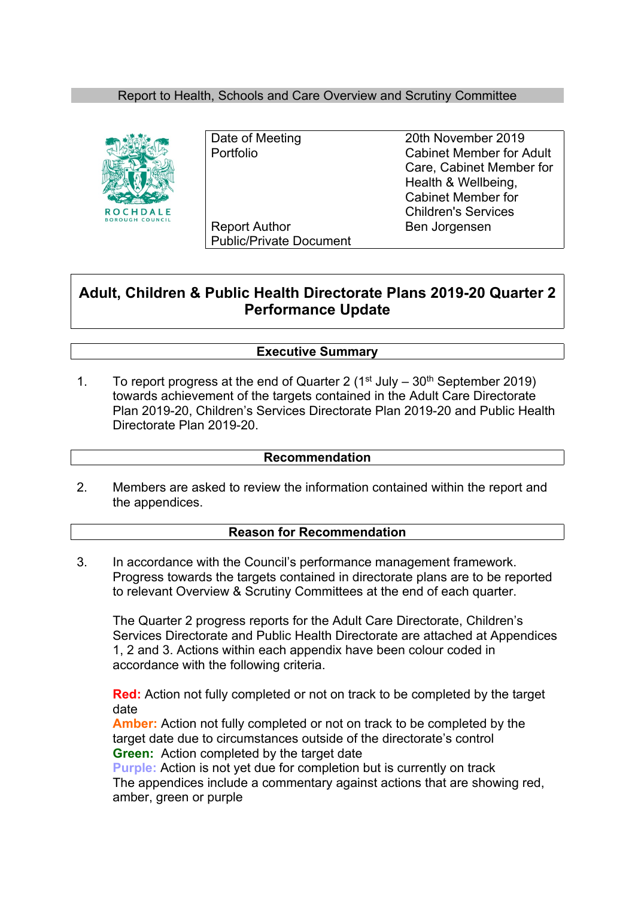### Report to Health, Schools and Care Overview and Scrutiny Committee



Report Author Ben Jorgensen Public/Private Document

Date of Meeting 20th November 2019 Portfolio Cabinet Member for Adult Care, Cabinet Member for Health & Wellbeing, Cabinet Member for Children's Services

# **Adult, Children & Public Health Directorate Plans 2019-20 Quarter 2 Performance Update**

### **Executive Summary**

1. To report progress at the end of Quarter 2 ( $1<sup>st</sup>$  July –  $30<sup>th</sup>$  September 2019) towards achievement of the targets contained in the Adult Care Directorate Plan 2019-20, Children's Services Directorate Plan 2019-20 and Public Health Directorate Plan 2019-20.

### **Recommendation**

2. Members are asked to review the information contained within the report and the appendices.

### **Reason for Recommendation**

3. In accordance with the Council's performance management framework. Progress towards the targets contained in directorate plans are to be reported to relevant Overview & Scrutiny Committees at the end of each quarter.

The Quarter 2 progress reports for the Adult Care Directorate, Children's Services Directorate and Public Health Directorate are attached at Appendices 1, 2 and 3. Actions within each appendix have been colour coded in accordance with the following criteria.

**Red:** Action not fully completed or not on track to be completed by the target date

**Amber:** Action not fully completed or not on track to be completed by the target date due to circumstances outside of the directorate's control **Green:** Action completed by the target date

**Purple:** Action is not yet due for completion but is currently on track The appendices include a commentary against actions that are showing red, amber, green or purple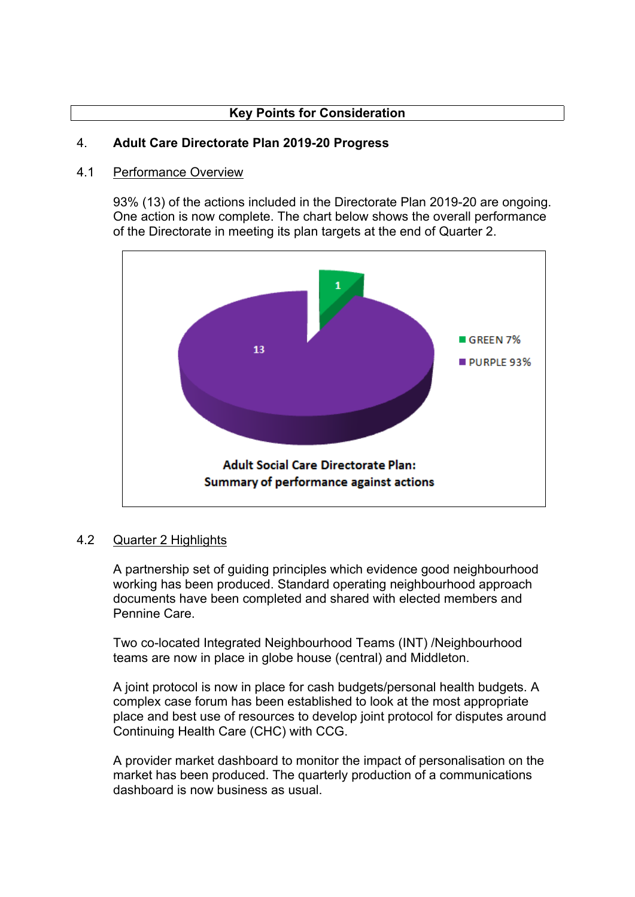## **Key Points for Consideration**

#### 4. **Adult Care Directorate Plan 2019-20 Progress**

#### 4.1 Performance Overview

93% (13) of the actions included in the Directorate Plan 2019-20 are ongoing. One action is now complete. The chart below shows the overall performance of the Directorate in meeting its plan targets at the end of Quarter 2.



#### 4.2 Quarter 2 Highlights

A partnership set of guiding principles which evidence good neighbourhood working has been produced. Standard operating neighbourhood approach documents have been completed and shared with elected members and Pennine Care.

Two co-located Integrated Neighbourhood Teams (INT) /Neighbourhood teams are now in place in globe house (central) and Middleton.

A joint protocol is now in place for cash budgets/personal health budgets. A complex case forum has been established to look at the most appropriate place and best use of resources to develop joint protocol for disputes around Continuing Health Care (CHC) with CCG.

A provider market dashboard to monitor the impact of personalisation on the market has been produced. The quarterly production of a communications dashboard is now business as usual.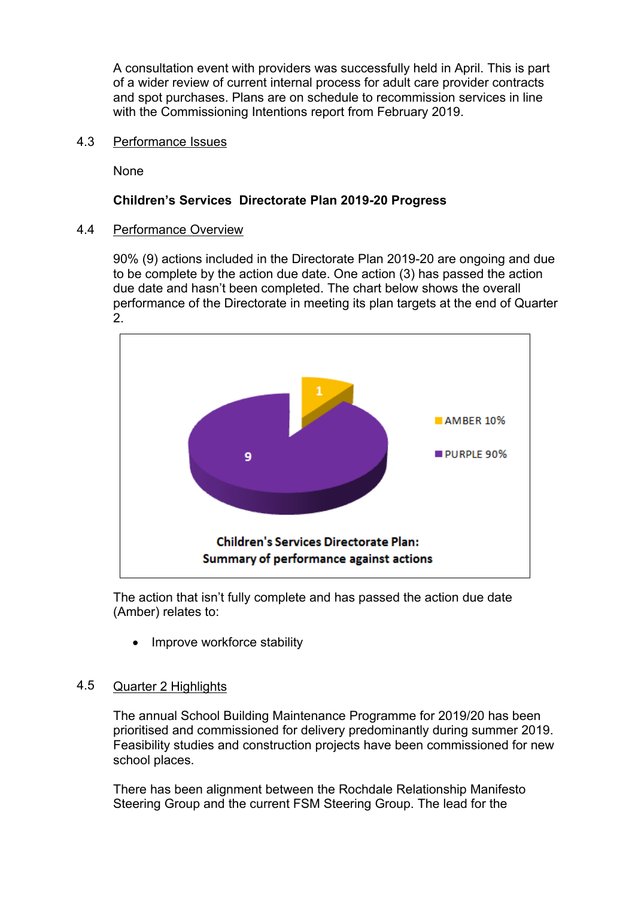A consultation event with providers was successfully held in April. This is part of a wider review of current internal process for adult care provider contracts and spot purchases. Plans are on schedule to recommission services in line with the Commissioning Intentions report from February 2019.

4.3 Performance Issues

None

### **Children's Services Directorate Plan 2019-20 Progress**

#### 4.4 Performance Overview

90% (9) actions included in the Directorate Plan 2019-20 are ongoing and due to be complete by the action due date. One action (3) has passed the action due date and hasn't been completed. The chart below shows the overall performance of the Directorate in meeting its plan targets at the end of Quarter 2.



The action that isn't fully complete and has passed the action due date (Amber) relates to:

Improve workforce stability

#### 4.5 Quarter 2 Highlights

The annual School Building Maintenance Programme for 2019/20 has been prioritised and commissioned for delivery predominantly during summer 2019. Feasibility studies and construction projects have been commissioned for new school places.

There has been alignment between the Rochdale Relationship Manifesto Steering Group and the current FSM Steering Group. The lead for the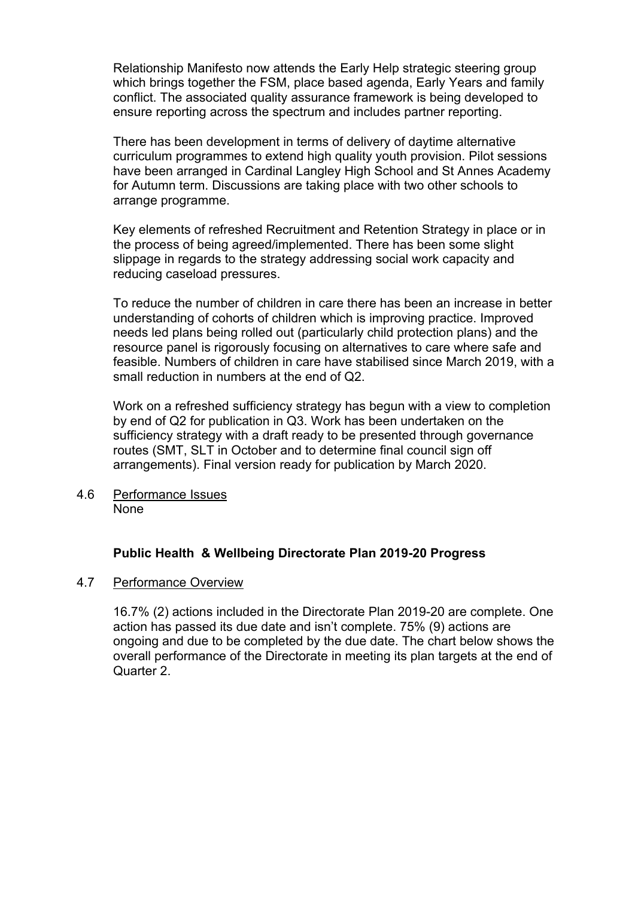Relationship Manifesto now attends the Early Help strategic steering group which brings together the FSM, place based agenda, Early Years and family conflict. The associated quality assurance framework is being developed to ensure reporting across the spectrum and includes partner reporting.

There has been development in terms of delivery of daytime alternative curriculum programmes to extend high quality youth provision. Pilot sessions have been arranged in Cardinal Langley High School and St Annes Academy for Autumn term. Discussions are taking place with two other schools to arrange programme.

Key elements of refreshed Recruitment and Retention Strategy in place or in the process of being agreed/implemented. There has been some slight slippage in regards to the strategy addressing social work capacity and reducing caseload pressures.

To reduce the number of children in care there has been an increase in better understanding of cohorts of children which is improving practice. Improved needs led plans being rolled out (particularly child protection plans) and the resource panel is rigorously focusing on alternatives to care where safe and feasible. Numbers of children in care have stabilised since March 2019, with a small reduction in numbers at the end of Q2.

Work on a refreshed sufficiency strategy has begun with a view to completion by end of Q2 for publication in Q3. Work has been undertaken on the sufficiency strategy with a draft ready to be presented through governance routes (SMT, SLT in October and to determine final council sign off arrangements). Final version ready for publication by March 2020.

4.6 Performance Issues None

# **Public Health & Wellbeing Directorate Plan 2019-20 Progress**

#### 4.7 Performance Overview

16.7% (2) actions included in the Directorate Plan 2019-20 are complete. One action has passed its due date and isn't complete. 75% (9) actions are ongoing and due to be completed by the due date. The chart below shows the overall performance of the Directorate in meeting its plan targets at the end of Quarter 2.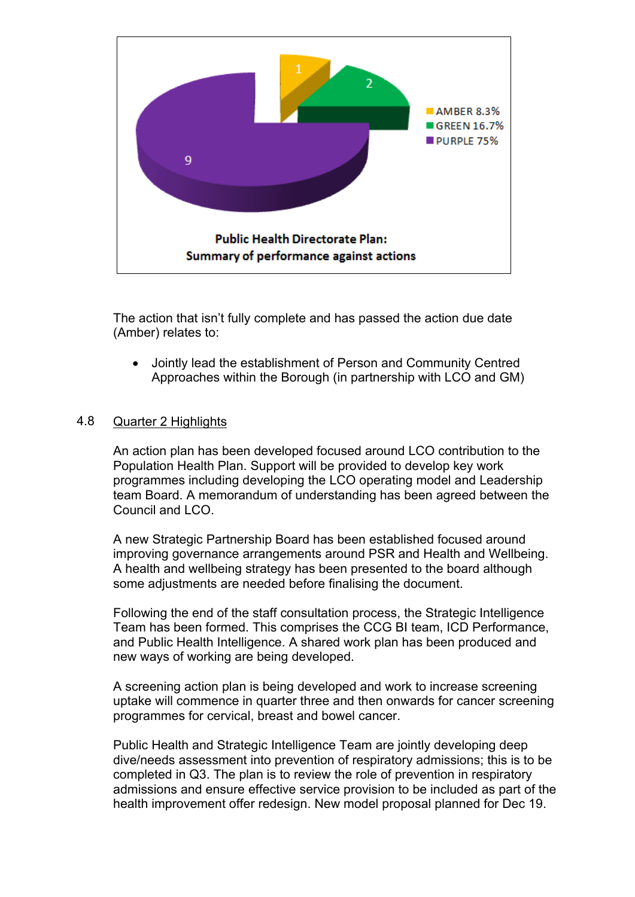

The action that isn't fully complete and has passed the action due date (Amber) relates to:

 Jointly lead the establishment of Person and Community Centred Approaches within the Borough (in partnership with LCO and GM)

#### 4.8 Quarter 2 Highlights

An action plan has been developed focused around LCO contribution to the Population Health Plan. Support will be provided to develop key work programmes including developing the LCO operating model and Leadership team Board. A memorandum of understanding has been agreed between the Council and LCO.

A new Strategic Partnership Board has been established focused around improving governance arrangements around PSR and Health and Wellbeing. A health and wellbeing strategy has been presented to the board although some adjustments are needed before finalising the document.

Following the end of the staff consultation process, the Strategic Intelligence Team has been formed. This comprises the CCG BI team, ICD Performance, and Public Health Intelligence. A shared work plan has been produced and new ways of working are being developed.

A screening action plan is being developed and work to increase screening uptake will commence in quarter three and then onwards for cancer screening programmes for cervical, breast and bowel cancer.

Public Health and Strategic Intelligence Team are jointly developing deep dive/needs assessment into prevention of respiratory admissions; this is to be completed in Q3. The plan is to review the role of prevention in respiratory admissions and ensure effective service provision to be included as part of the health improvement offer redesign. New model proposal planned for Dec 19.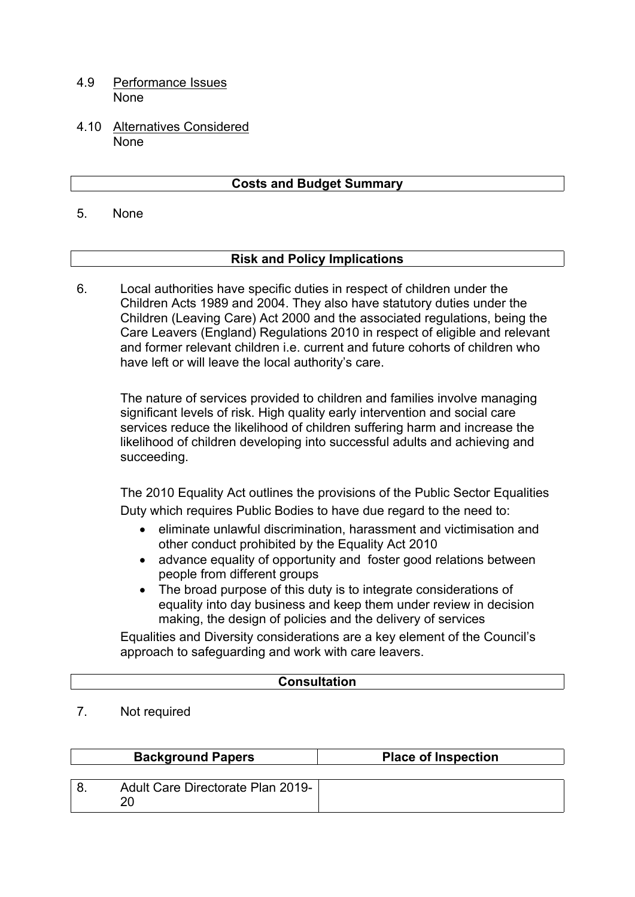- 4.9 Performance Issues None
- 4.10 Alternatives Considered None

## **Costs and Budget Summary**

5. None

### **Risk and Policy Implications**

Local authorities have specific duties in respect of children under the Children Acts 1989 and 2004. They also have statutory duties under the Children (Leaving Care) Act 2000 and the associated regulations, being the Care Leavers (England) Regulations 2010 in respect of eligible and relevant and former relevant children i.e. current and future cohorts of children who have left or will leave the local authority's care. 6.

The nature of services provided to children and families involve managing significant levels of risk. High quality early intervention and social care services reduce the likelihood of children suffering harm and increase the likelihood of children developing into successful adults and achieving and succeeding.

The 2010 Equality Act outlines the provisions of the Public Sector Equalities Duty which requires Public Bodies to have due regard to the need to:

- eliminate unlawful discrimination, harassment and victimisation and other conduct prohibited by the Equality Act 2010
- advance equality of opportunity and foster good relations between people from different groups
- The broad purpose of this duty is to integrate considerations of equality into day business and keep them under review in decision making, the design of policies and the delivery of services

Equalities and Diversity considerations are a key element of the Council's approach to safeguarding and work with care leavers.

### **Consultation**

7. Not required

| <b>Background Papers</b>                | <b>Place of Inspection</b> |
|-----------------------------------------|----------------------------|
|                                         |                            |
| Adult Care Directorate Plan 2019-<br>20 |                            |